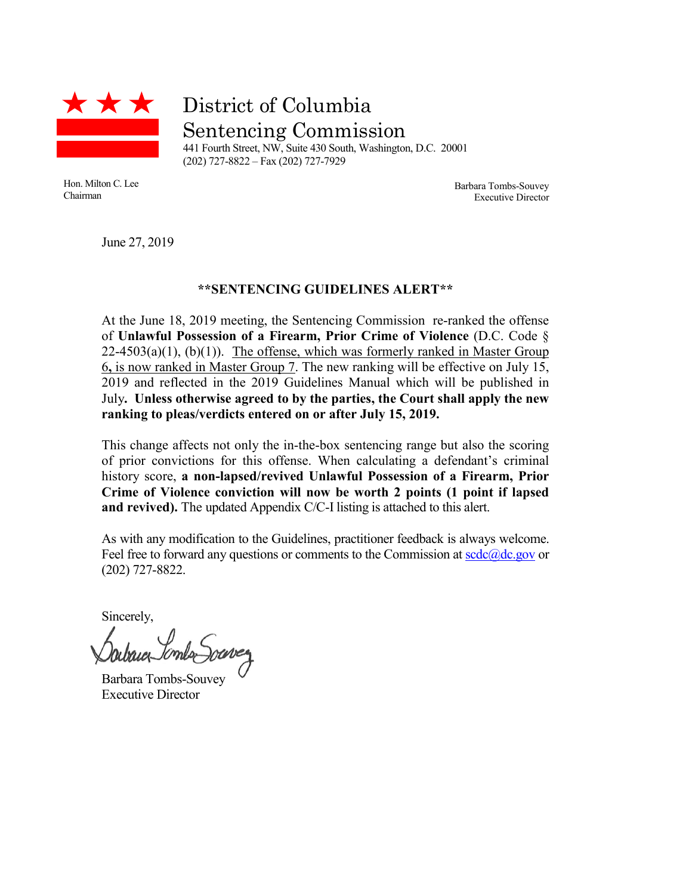

District of Columbia Sentencing Commission

441 Fourth Street, NW, Suite 430 South, Washington, D.C. 20001 (202) 727-8822 – Fax (202) 727-7929

Hon. Milton C. Lee Chairman

Barbara Tombs-Souvey Executive Director

June 27, 2019

## **\*\*SENTENCING GUIDELINES ALERT\*\***

At the June 18, 2019 meeting, the Sentencing Commission re-ranked the offense of **Unlawful Possession of a Firearm, Prior Crime of Violence** (D.C. Code §  $22-4503(a)(1)$ , (b)(1)). The offense, which was formerly ranked in Master Group 6**,** is now ranked in Master Group 7. The new ranking will be effective on July 15, 2019 and reflected in the 2019 Guidelines Manual which will be published in July**. Unless otherwise agreed to by the parties, the Court shall apply the new ranking to pleas/verdicts entered on or after July 15, 2019.**

This change affects not only the in-the-box sentencing range but also the scoring of prior convictions for this offense. When calculating a defendant's criminal history score, **a non-lapsed/revived Unlawful Possession of a Firearm, Prior Crime of Violence conviction will now be worth 2 points (1 point if lapsed and revived).** The updated Appendix C/C-I listing is attached to this alert.

As with any modification to the Guidelines, practitioner feedback is always welcome. Feel free to forward any questions or comments to the Commission at  $\frac{\text{gcd}(a)}{\text{gcd}(a)}$ (202) 727-8822.

Sincerely,

Barbara Tombs-Souvey Executive Director